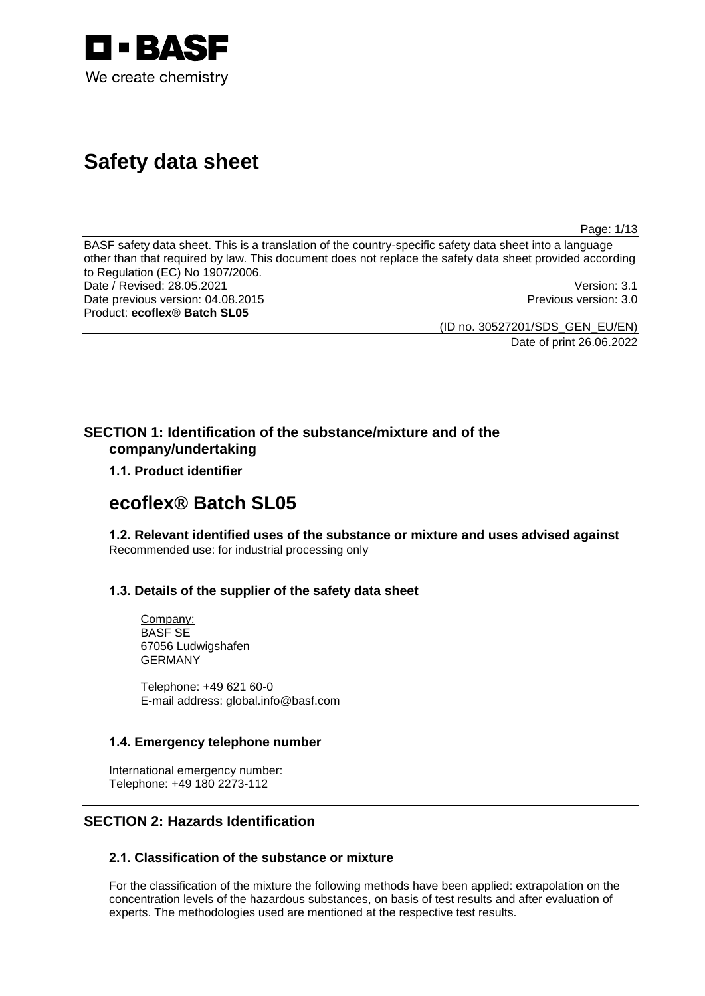

# **Safety data sheet**

Page: 1/13

BASF safety data sheet. This is a translation of the country-specific safety data sheet into a language other than that required by law. This document does not replace the safety data sheet provided according to Regulation (EC) No 1907/2006. Date / Revised: 28.05.2021 Version: 3.1<br>Date previous version: 04.08.2015 Version: 3.0 Date previous version: 04.08.2015 Product: **ecoflex® Batch SL05**

(ID no. 30527201/SDS\_GEN\_EU/EN)

Date of print 26.06.2022

# **SECTION 1: Identification of the substance/mixture and of the company/undertaking**

**1.1. Product identifier**

# **ecoflex® Batch SL05**

**1.2. Relevant identified uses of the substance or mixture and uses advised against** Recommended use: for industrial processing only

# **1.3. Details of the supplier of the safety data sheet**

Company: BASF SE 67056 Ludwigshafen GERMANY

Telephone: +49 621 60-0 E-mail address: global.info@basf.com

# **1.4. Emergency telephone number**

International emergency number: Telephone: +49 180 2273-112

# **SECTION 2: Hazards Identification**

# **2.1. Classification of the substance or mixture**

For the classification of the mixture the following methods have been applied: extrapolation on the concentration levels of the hazardous substances, on basis of test results and after evaluation of experts. The methodologies used are mentioned at the respective test results.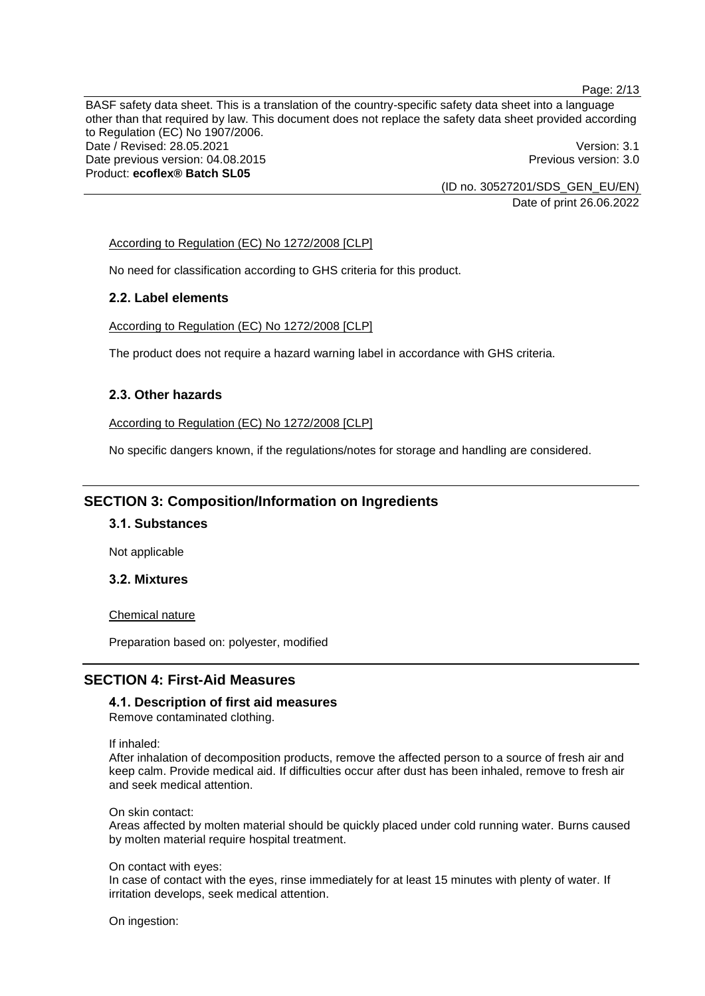Page: 2/13

BASF safety data sheet. This is a translation of the country-specific safety data sheet into a language other than that required by law. This document does not replace the safety data sheet provided according to Regulation (EC) No 1907/2006. Date / Revised: 28.05.2021 **Version: 3.1** Date previous version: 04.08.2015 **Previous version: 3.0** Previous version: 3.0 Product: **ecoflex® Batch SL05**

(ID no. 30527201/SDS\_GEN\_EU/EN) Date of print 26.06.2022

### According to Regulation (EC) No 1272/2008 [CLP]

No need for classification according to GHS criteria for this product.

### **2.2. Label elements**

According to Regulation (EC) No 1272/2008 [CLP]

The product does not require a hazard warning label in accordance with GHS criteria.

### **2.3. Other hazards**

According to Regulation (EC) No 1272/2008 [CLP]

No specific dangers known, if the regulations/notes for storage and handling are considered.

# **SECTION 3: Composition/Information on Ingredients**

# **3.1. Substances**

Not applicable

# **3.2. Mixtures**

Chemical nature

Preparation based on: polyester, modified

# **SECTION 4: First-Aid Measures**

**4.1. Description of first aid measures** Remove contaminated clothing.

If inhaled:

After inhalation of decomposition products, remove the affected person to a source of fresh air and keep calm. Provide medical aid. If difficulties occur after dust has been inhaled, remove to fresh air and seek medical attention.

On skin contact:

Areas affected by molten material should be quickly placed under cold running water. Burns caused by molten material require hospital treatment.

On contact with eyes:

In case of contact with the eyes, rinse immediately for at least 15 minutes with plenty of water. If irritation develops, seek medical attention.

On ingestion: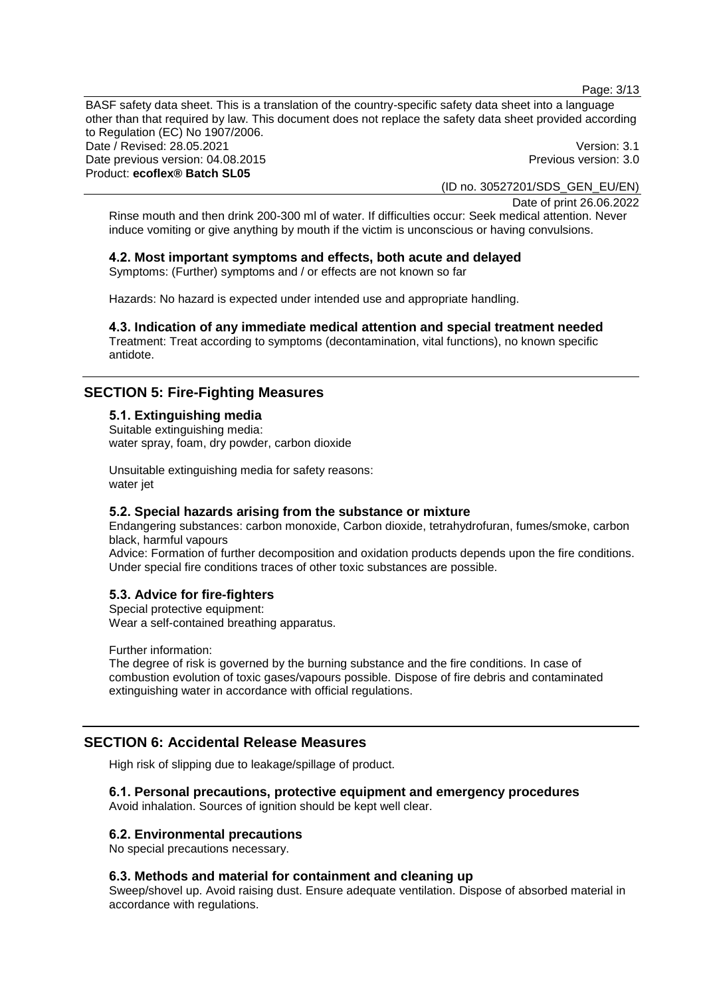Page: 3/13

BASF safety data sheet. This is a translation of the country-specific safety data sheet into a language other than that required by law. This document does not replace the safety data sheet provided according to Regulation (EC) No 1907/2006. Date / Revised: 28.05.2021 **Version: 3.1** Date previous version: 04.08.2015 **Previous version: 3.0** Previous version: 3.0 Product: **ecoflex® Batch SL05**

(ID no. 30527201/SDS\_GEN\_EU/EN)

Date of print 26.06.2022 Rinse mouth and then drink 200-300 ml of water. If difficulties occur: Seek medical attention. Never induce vomiting or give anything by mouth if the victim is unconscious or having convulsions.

# **4.2. Most important symptoms and effects, both acute and delayed**

Symptoms: (Further) symptoms and / or effects are not known so far

Hazards: No hazard is expected under intended use and appropriate handling.

# **4.3. Indication of any immediate medical attention and special treatment needed**

Treatment: Treat according to symptoms (decontamination, vital functions), no known specific antidote.

# **SECTION 5: Fire-Fighting Measures**

### **5.1. Extinguishing media** Suitable extinguishing media: water spray, foam, dry powder, carbon dioxide

Unsuitable extinguishing media for safety reasons: water jet

# **5.2. Special hazards arising from the substance or mixture**

Endangering substances: carbon monoxide, Carbon dioxide, tetrahydrofuran, fumes/smoke, carbon black, harmful vapours

Advice: Formation of further decomposition and oxidation products depends upon the fire conditions. Under special fire conditions traces of other toxic substances are possible.

# **5.3. Advice for fire-fighters**

Special protective equipment: Wear a self-contained breathing apparatus.

Further information:

The degree of risk is governed by the burning substance and the fire conditions. In case of combustion evolution of toxic gases/vapours possible. Dispose of fire debris and contaminated extinguishing water in accordance with official regulations.

# **SECTION 6: Accidental Release Measures**

High risk of slipping due to leakage/spillage of product.

# **6.1. Personal precautions, protective equipment and emergency procedures**

Avoid inhalation. Sources of ignition should be kept well clear.

### **6.2. Environmental precautions**

No special precautions necessary.

### **6.3. Methods and material for containment and cleaning up**

Sweep/shovel up. Avoid raising dust. Ensure adequate ventilation. Dispose of absorbed material in accordance with regulations.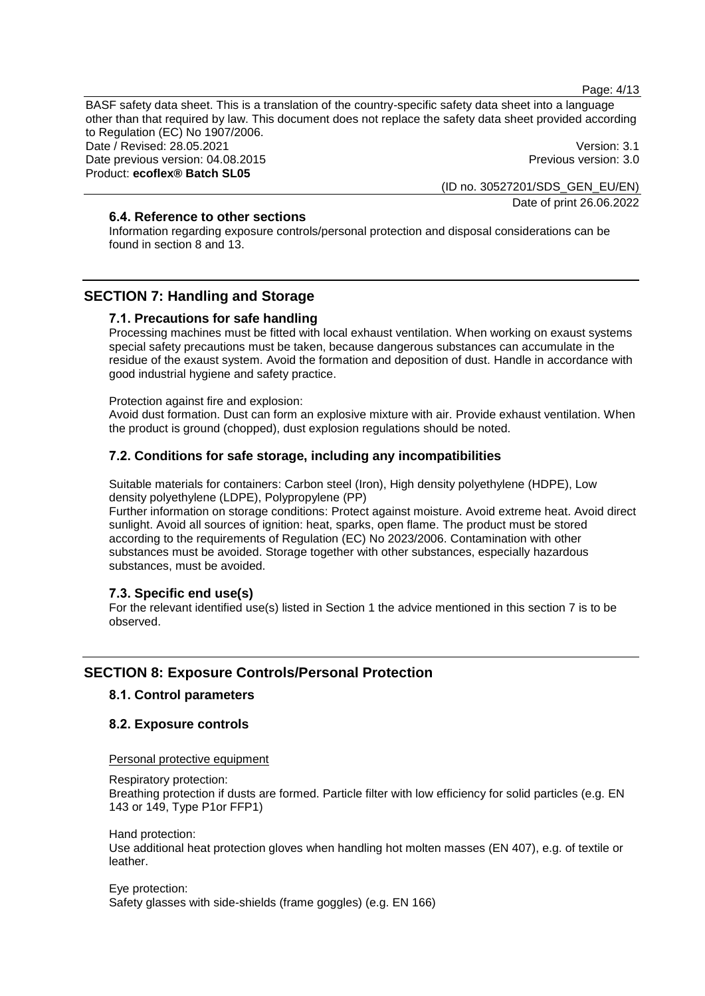Page: 4/13

BASF safety data sheet. This is a translation of the country-specific safety data sheet into a language other than that required by law. This document does not replace the safety data sheet provided according to Regulation (EC) No 1907/2006. Date / Revised: 28.05.2021 **Version: 3.1** Date previous version: 04.08.2015 **Previous version: 3.0** Previous version: 3.0 Product: **ecoflex® Batch SL05**

> (ID no. 30527201/SDS\_GEN\_EU/EN) Date of print 26.06.2022

# **6.4. Reference to other sections**

Information regarding exposure controls/personal protection and disposal considerations can be found in section 8 and 13.

# **SECTION 7: Handling and Storage**

# **7.1. Precautions for safe handling**

Processing machines must be fitted with local exhaust ventilation. When working on exaust systems special safety precautions must be taken, because dangerous substances can accumulate in the residue of the exaust system. Avoid the formation and deposition of dust. Handle in accordance with good industrial hygiene and safety practice.

Protection against fire and explosion:

Avoid dust formation. Dust can form an explosive mixture with air. Provide exhaust ventilation. When the product is ground (chopped), dust explosion regulations should be noted.

# **7.2. Conditions for safe storage, including any incompatibilities**

Suitable materials for containers: Carbon steel (Iron), High density polyethylene (HDPE), Low density polyethylene (LDPE), Polypropylene (PP)

Further information on storage conditions: Protect against moisture. Avoid extreme heat. Avoid direct sunlight. Avoid all sources of ignition: heat, sparks, open flame. The product must be stored according to the requirements of Regulation (EC) No 2023/2006. Contamination with other substances must be avoided. Storage together with other substances, especially hazardous substances, must be avoided.

# **7.3. Specific end use(s)**

For the relevant identified use(s) listed in Section 1 the advice mentioned in this section 7 is to be observed.

# **SECTION 8: Exposure Controls/Personal Protection**

# **8.1. Control parameters**

# **8.2. Exposure controls**

Personal protective equipment

Respiratory protection:

Breathing protection if dusts are formed. Particle filter with low efficiency for solid particles (e.g. EN 143 or 149, Type P1or FFP1)

Hand protection:

Use additional heat protection gloves when handling hot molten masses (EN 407), e.g. of textile or leather.

Eye protection: Safety glasses with side-shields (frame goggles) (e.g. EN 166)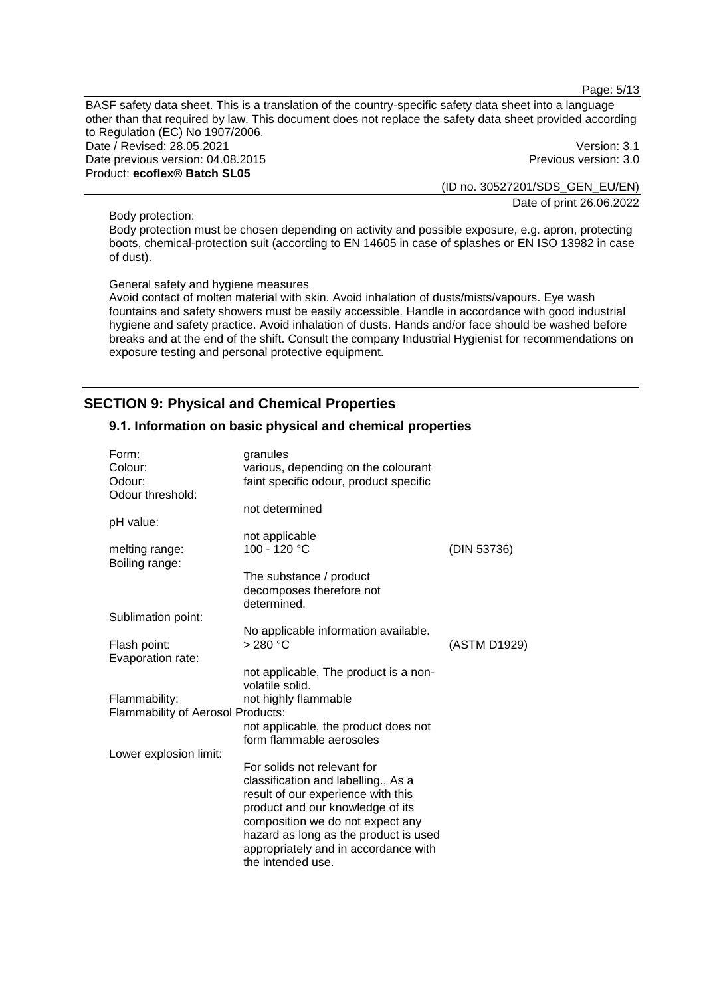Page: 5/13

BASF safety data sheet. This is a translation of the country-specific safety data sheet into a language other than that required by law. This document does not replace the safety data sheet provided according to Regulation (EC) No 1907/2006. Date / Revised: 28.05.2021 **Version: 3.1** Date previous version: 04.08.2015 **Previous version: 3.0** Previous version: 3.0 Product: **ecoflex® Batch SL05**

(ID no. 30527201/SDS\_GEN\_EU/EN) Date of print 26.06.2022

Body protection:

Body protection must be chosen depending on activity and possible exposure, e.g. apron, protecting boots, chemical-protection suit (according to EN 14605 in case of splashes or EN ISO 13982 in case of dust).

#### General safety and hygiene measures

Avoid contact of molten material with skin. Avoid inhalation of dusts/mists/vapours. Eye wash fountains and safety showers must be easily accessible. Handle in accordance with good industrial hygiene and safety practice. Avoid inhalation of dusts. Hands and/or face should be washed before breaks and at the end of the shift. Consult the company Industrial Hygienist for recommendations on exposure testing and personal protective equipment.

# **SECTION 9: Physical and Chemical Properties**

### **9.1. Information on basic physical and chemical properties**

| Form:                                    | granules                                |              |
|------------------------------------------|-----------------------------------------|--------------|
| Colour:                                  | various, depending on the colourant     |              |
| Odour:                                   | faint specific odour, product specific  |              |
| Odour threshold:                         |                                         |              |
|                                          | not determined                          |              |
| pH value:                                |                                         |              |
|                                          | not applicable                          |              |
| melting range:<br>Boiling range:         | 100 - 120 °C                            | (DIN 53736)  |
|                                          | The substance / product                 |              |
|                                          | decomposes therefore not<br>determined. |              |
| Sublimation point:                       |                                         |              |
|                                          | No applicable information available.    |              |
| Flash point:                             | > 280 °C                                | (ASTM D1929) |
| Evaporation rate:                        |                                         |              |
|                                          | not applicable, The product is a non-   |              |
|                                          | volatile solid.                         |              |
| Flammability:                            | not highly flammable                    |              |
| <b>Flammability of Aerosol Products:</b> |                                         |              |
|                                          | not applicable, the product does not    |              |
|                                          | form flammable aerosoles                |              |
| Lower explosion limit:                   |                                         |              |
|                                          | For solids not relevant for             |              |
|                                          | classification and labelling., As a     |              |
|                                          | result of our experience with this      |              |
|                                          | product and our knowledge of its        |              |
|                                          | composition we do not expect any        |              |
|                                          | hazard as long as the product is used   |              |
|                                          | appropriately and in accordance with    |              |
|                                          | the intended use.                       |              |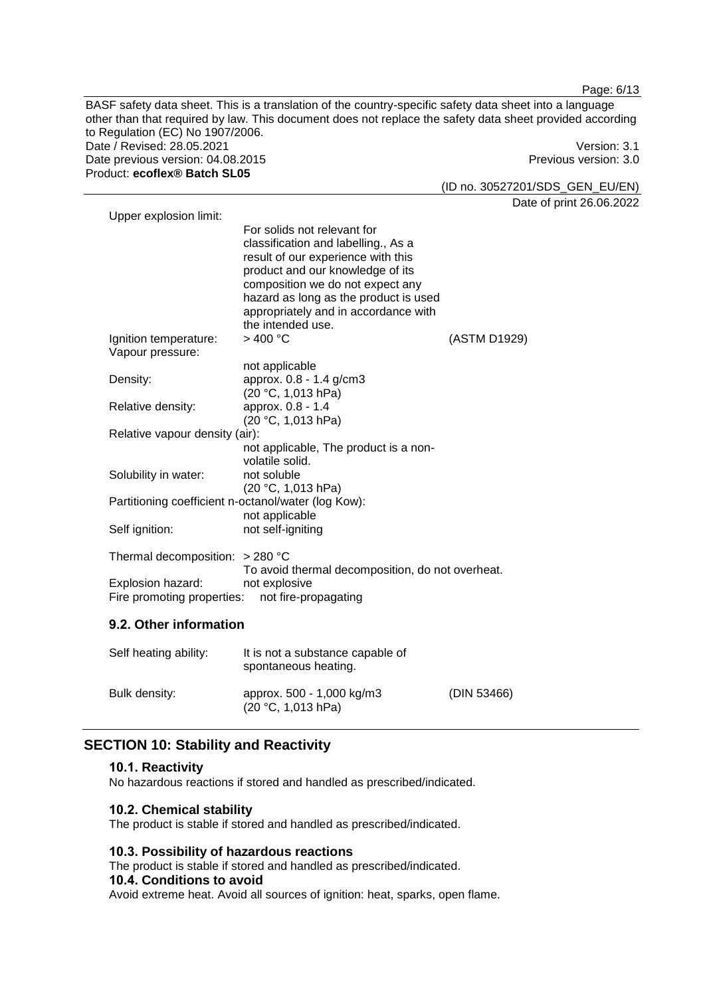BASF safety data sheet. This is a translation of the country-specific safety data sheet into a language other than that required by law. This document does not replace the safety data sheet provided according to Regulation (EC) No 1907/2006. Date / Revised: 28.05.2021 Version: 3.1 Date previous version: 04.08.2015 **Previous version: 3.0** Previous version: 3.0 Product: **ecoflex® Batch SL05**

(ID no. 30527201/SDS\_GEN\_EU/EN)

Date of print 26.06.2022

| Upper explosion limit:                              | For solids not relevant for<br>classification and labelling., As a<br>result of our experience with this<br>product and our knowledge of its<br>composition we do not expect any<br>hazard as long as the product is used<br>appropriately and in accordance with |              |
|-----------------------------------------------------|-------------------------------------------------------------------------------------------------------------------------------------------------------------------------------------------------------------------------------------------------------------------|--------------|
|                                                     | the intended use.                                                                                                                                                                                                                                                 |              |
| Ignition temperature:                               | $>$ 400 °C                                                                                                                                                                                                                                                        | (ASTM D1929) |
| Vapour pressure:                                    |                                                                                                                                                                                                                                                                   |              |
|                                                     | not applicable                                                                                                                                                                                                                                                    |              |
| Density:                                            | approx. 0.8 - 1.4 g/cm3                                                                                                                                                                                                                                           |              |
|                                                     | (20 °C, 1,013 hPa)                                                                                                                                                                                                                                                |              |
| Relative density:                                   | approx. 0.8 - 1.4<br>(20 °C, 1,013 hPa)                                                                                                                                                                                                                           |              |
| Relative vapour density (air):                      |                                                                                                                                                                                                                                                                   |              |
|                                                     | not applicable, The product is a non-                                                                                                                                                                                                                             |              |
|                                                     | volatile solid.                                                                                                                                                                                                                                                   |              |
| Solubility in water:                                | not soluble                                                                                                                                                                                                                                                       |              |
|                                                     | (20 °C, 1,013 hPa)                                                                                                                                                                                                                                                |              |
| Partitioning coefficient n-octanol/water (log Kow): |                                                                                                                                                                                                                                                                   |              |
|                                                     | not applicable                                                                                                                                                                                                                                                    |              |
| Self ignition:                                      | not self-igniting                                                                                                                                                                                                                                                 |              |
|                                                     |                                                                                                                                                                                                                                                                   |              |
| Thermal decomposition: $>$ 280 °C                   |                                                                                                                                                                                                                                                                   |              |
|                                                     | To avoid thermal decomposition, do not overheat.                                                                                                                                                                                                                  |              |
| Explosion hazard:                                   | not explosive                                                                                                                                                                                                                                                     |              |
| Fire promoting properties:                          | not fire-propagating                                                                                                                                                                                                                                              |              |
|                                                     |                                                                                                                                                                                                                                                                   |              |

# **9.2. Other information**

| Self heating ability: | It is not a substance capable of<br>spontaneous heating. |             |
|-----------------------|----------------------------------------------------------|-------------|
| Bulk density:         | approx. 500 - 1,000 kg/m3<br>(20 °C, 1,013 hPa)          | (DIN 53466) |

# **SECTION 10: Stability and Reactivity**

### **10.1. Reactivity**

No hazardous reactions if stored and handled as prescribed/indicated.

# **10.2. Chemical stability**

The product is stable if stored and handled as prescribed/indicated.

### **10.3. Possibility of hazardous reactions**

The product is stable if stored and handled as prescribed/indicated.

### **10.4. Conditions to avoid**

Avoid extreme heat. Avoid all sources of ignition: heat, sparks, open flame.

Page: 6/13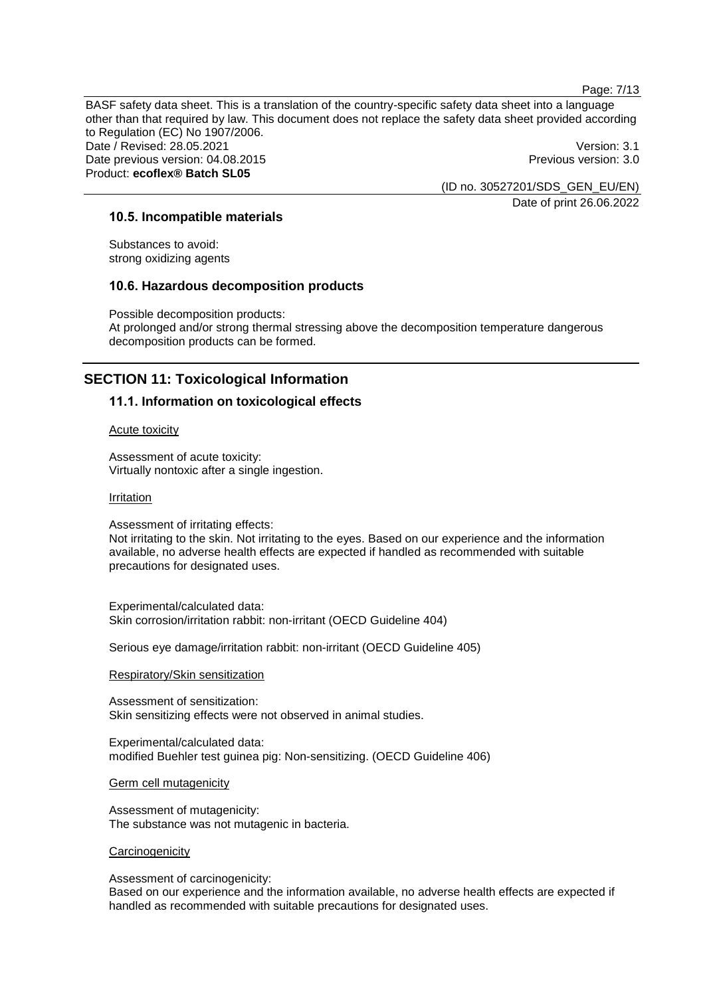Page: 7/13

BASF safety data sheet. This is a translation of the country-specific safety data sheet into a language other than that required by law. This document does not replace the safety data sheet provided according to Regulation (EC) No 1907/2006. Date / Revised: 28.05.2021 **Version: 3.1** Date previous version: 04.08.2015 **Previous version: 3.0** Previous version: 3.0 Product: **ecoflex® Batch SL05**

(ID no. 30527201/SDS\_GEN\_EU/EN) Date of print 26.06.2022

# **10.5. Incompatible materials**

Substances to avoid: strong oxidizing agents

#### **10.6. Hazardous decomposition products**

Possible decomposition products: At prolonged and/or strong thermal stressing above the decomposition temperature dangerous decomposition products can be formed.

# **SECTION 11: Toxicological Information**

#### **11.1. Information on toxicological effects**

Acute toxicity

Assessment of acute toxicity: Virtually nontoxic after a single ingestion.

#### Irritation

Assessment of irritating effects: Not irritating to the skin. Not irritating to the eyes. Based on our experience and the information available, no adverse health effects are expected if handled as recommended with suitable precautions for designated uses.

Experimental/calculated data: Skin corrosion/irritation rabbit: non-irritant (OECD Guideline 404)

Serious eye damage/irritation rabbit: non-irritant (OECD Guideline 405)

#### Respiratory/Skin sensitization

Assessment of sensitization: Skin sensitizing effects were not observed in animal studies.

Experimental/calculated data: modified Buehler test guinea pig: Non-sensitizing. (OECD Guideline 406)

#### Germ cell mutagenicity

Assessment of mutagenicity: The substance was not mutagenic in bacteria.

#### **Carcinogenicity**

Assessment of carcinogenicity:

Based on our experience and the information available, no adverse health effects are expected if handled as recommended with suitable precautions for designated uses.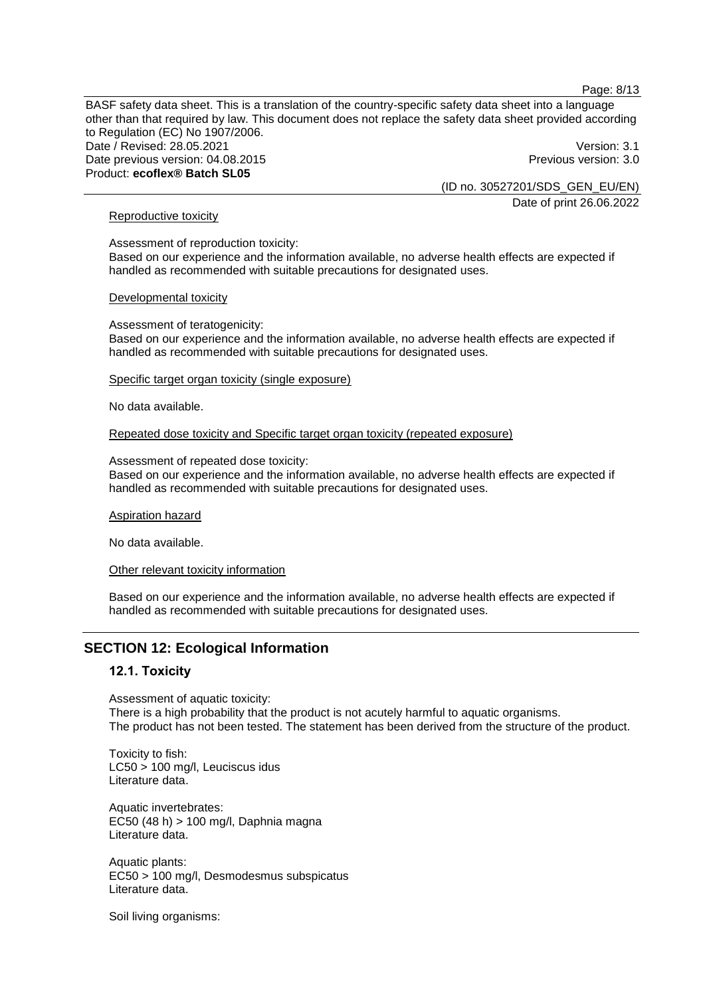Page: 8/13

BASF safety data sheet. This is a translation of the country-specific safety data sheet into a language other than that required by law. This document does not replace the safety data sheet provided according to Regulation (EC) No 1907/2006. Date / Revised: 28.05.2021 **Version: 3.1** Date previous version: 04.08.2015 **Previous version: 3.0** Previous version: 3.0 Product: **ecoflex® Batch SL05**

(ID no. 30527201/SDS\_GEN\_EU/EN) Date of print 26.06.2022

### Reproductive toxicity

Assessment of reproduction toxicity: Based on our experience and the information available, no adverse health effects are expected if handled as recommended with suitable precautions for designated uses.

#### Developmental toxicity

Assessment of teratogenicity: Based on our experience and the information available, no adverse health effects are expected if handled as recommended with suitable precautions for designated uses.

# Specific target organ toxicity (single exposure)

No data available.

#### Repeated dose toxicity and Specific target organ toxicity (repeated exposure)

#### Assessment of repeated dose toxicity:

Based on our experience and the information available, no adverse health effects are expected if handled as recommended with suitable precautions for designated uses.

#### Aspiration hazard

No data available.

#### Other relevant toxicity information

Based on our experience and the information available, no adverse health effects are expected if handled as recommended with suitable precautions for designated uses.

# **SECTION 12: Ecological Information**

### **12.1. Toxicity**

Assessment of aquatic toxicity: There is a high probability that the product is not acutely harmful to aquatic organisms. The product has not been tested. The statement has been derived from the structure of the product.

Toxicity to fish: LC50 > 100 mg/l, Leuciscus idus Literature data.

Aquatic invertebrates: EC50 (48 h) > 100 mg/l, Daphnia magna Literature data.

Aquatic plants: EC50 > 100 mg/l, Desmodesmus subspicatus Literature data.

Soil living organisms: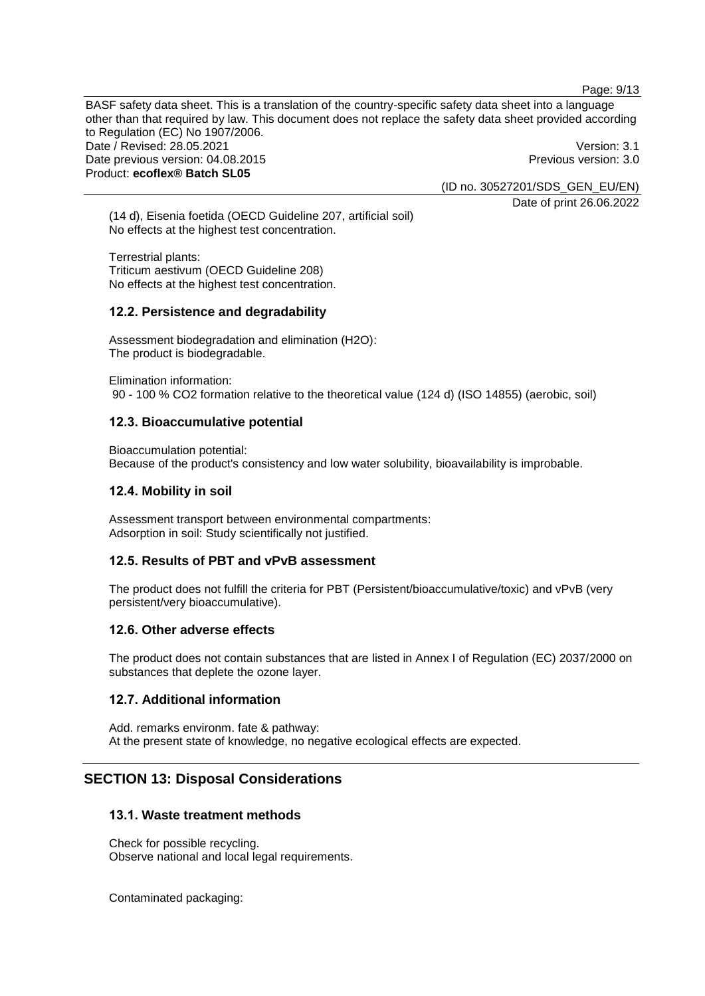Page: 9/13

BASF safety data sheet. This is a translation of the country-specific safety data sheet into a language other than that required by law. This document does not replace the safety data sheet provided according to Regulation (EC) No 1907/2006. Date / Revised: 28.05.2021 **Version: 3.1** Date previous version: 04.08.2015 **Previous version: 3.0** Previous version: 3.0 Product: **ecoflex® Batch SL05**

(ID no. 30527201/SDS\_GEN\_EU/EN)

Date of print 26.06.2022

(14 d), Eisenia foetida (OECD Guideline 207, artificial soil) No effects at the highest test concentration.

Terrestrial plants: Triticum aestivum (OECD Guideline 208) No effects at the highest test concentration.

# **12.2. Persistence and degradability**

Assessment biodegradation and elimination (H2O): The product is biodegradable.

Elimination information:

90 - 100 % CO2 formation relative to the theoretical value (124 d) (ISO 14855) (aerobic, soil)

### **12.3. Bioaccumulative potential**

Bioaccumulation potential: Because of the product's consistency and low water solubility, bioavailability is improbable.

### **12.4. Mobility in soil**

Assessment transport between environmental compartments: Adsorption in soil: Study scientifically not justified.

### **12.5. Results of PBT and vPvB assessment**

The product does not fulfill the criteria for PBT (Persistent/bioaccumulative/toxic) and vPvB (very persistent/very bioaccumulative).

### **12.6. Other adverse effects**

The product does not contain substances that are listed in Annex I of Regulation (EC) 2037/2000 on substances that deplete the ozone layer.

### **12.7. Additional information**

Add. remarks environm. fate & pathway: At the present state of knowledge, no negative ecological effects are expected.

# **SECTION 13: Disposal Considerations**

### **13.1. Waste treatment methods**

Check for possible recycling. Observe national and local legal requirements.

Contaminated packaging: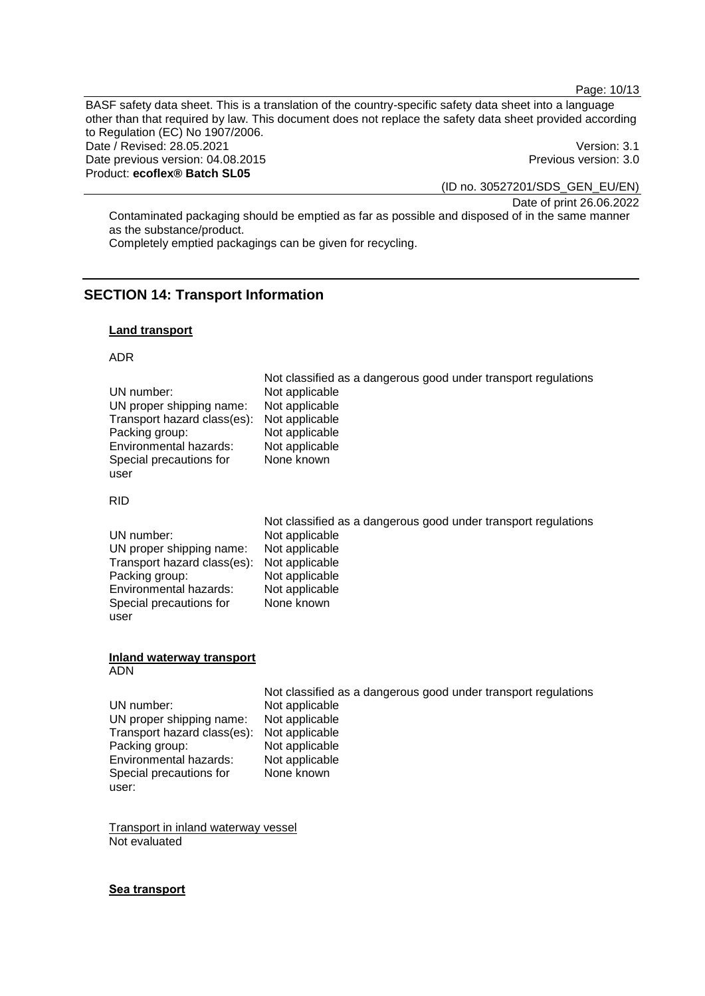Page: 10/13

BASF safety data sheet. This is a translation of the country-specific safety data sheet into a language other than that required by law. This document does not replace the safety data sheet provided according to Regulation (EC) No 1907/2006. Date / Revised: 28.05.2021 **Version: 3.1** Date previous version: 04.08.2015 **Previous version: 3.0** Previous version: 3.0 Product: **ecoflex® Batch SL05**

(ID no. 30527201/SDS\_GEN\_EU/EN)

Date of print 26.06.2022 Contaminated packaging should be emptied as far as possible and disposed of in the same manner as the substance/product.

Completely emptied packagings can be given for recycling.

# **SECTION 14: Transport Information**

### **Land transport**

### ADR

|                             | Not classified as a dangerous good under transport regulations |
|-----------------------------|----------------------------------------------------------------|
| UN number:                  | Not applicable                                                 |
| UN proper shipping name:    | Not applicable                                                 |
| Transport hazard class(es): | Not applicable                                                 |
| Packing group:              | Not applicable                                                 |
| Environmental hazards:      | Not applicable                                                 |
| Special precautions for     | None known                                                     |
| user                        |                                                                |

### RID

|                                            | Not classified as a dangerous good under transport regulations |
|--------------------------------------------|----------------------------------------------------------------|
| UN number:                                 | Not applicable                                                 |
| UN proper shipping name:                   | Not applicable                                                 |
| Transport hazard class(es): Not applicable |                                                                |
| Packing group:                             | Not applicable                                                 |
| Environmental hazards:                     | Not applicable                                                 |
| Special precautions for                    | None known                                                     |
| user                                       |                                                                |

#### **Inland waterway transport** ADN

| UN number:                  | Not applicable |
|-----------------------------|----------------|
| UN proper shipping name:    | Not applicable |
| Transport hazard class(es): | Not applicable |
| Packing group:              | Not applicable |
| Environmental hazards:      | Not applicable |
| Special precautions for     | None known     |
| user:                       |                |

Not classified as a dangerous good under transport regulations

Transport in inland waterway vessel Not evaluated

# **Sea transport**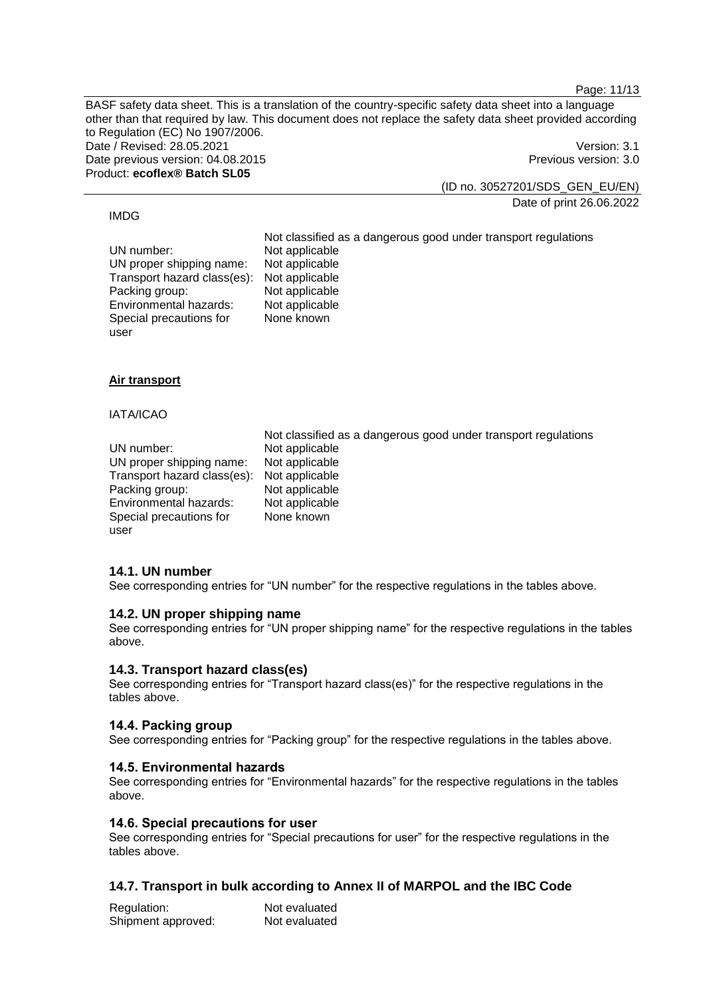Page: 11/13

BASF safety data sheet. This is a translation of the country-specific safety data sheet into a language other than that required by law. This document does not replace the safety data sheet provided according to Regulation (EC) No 1907/2006. Date / Revised: 28.05.2021 **Version: 3.1** Date previous version: 04.08.2015 **Previous version: 3.0** Previous version: 3.0 Product: **ecoflex® Batch SL05**

(ID no. 30527201/SDS\_GEN\_EU/EN)

Date of print 26.06.2022

### IMDG

Not classified as a dangerous good under transport regulations UN number: Not applicable<br>UN proper shipping name: Not applicable UN proper shipping name: Not applicable<br>Transport hazard class(es): Not applicable Transport hazard class(es): Not applicable Packing group: Environmental hazards: Not applicable Special precautions for user None known

### **Air transport**

### IATA/ICAO

Not classified as a dangerous good under transport regulations UN number: Not applicable<br>UN proper shipping name: Not applicable UN proper shipping name: Transport hazard class(es): Not applicable Packing group: Not applicable Environmental hazards: Not applicable Special precautions for user None known

# **14.1. UN number**

See corresponding entries for "UN number" for the respective regulations in the tables above.

### **14.2. UN proper shipping name**

See corresponding entries for "UN proper shipping name" for the respective regulations in the tables above.

### **14.3. Transport hazard class(es)**

See corresponding entries for "Transport hazard class(es)" for the respective regulations in the tables above.

# **14.4. Packing group**

See corresponding entries for "Packing group" for the respective regulations in the tables above.

### **14.5. Environmental hazards**

See corresponding entries for "Environmental hazards" for the respective regulations in the tables above.

#### **14.6. Special precautions for user**

See corresponding entries for "Special precautions for user" for the respective regulations in the tables above.

# **14.7. Transport in bulk according to Annex II of MARPOL and the IBC Code**

| Regulation:        | Not evaluated |
|--------------------|---------------|
| Shipment approved: | Not evaluated |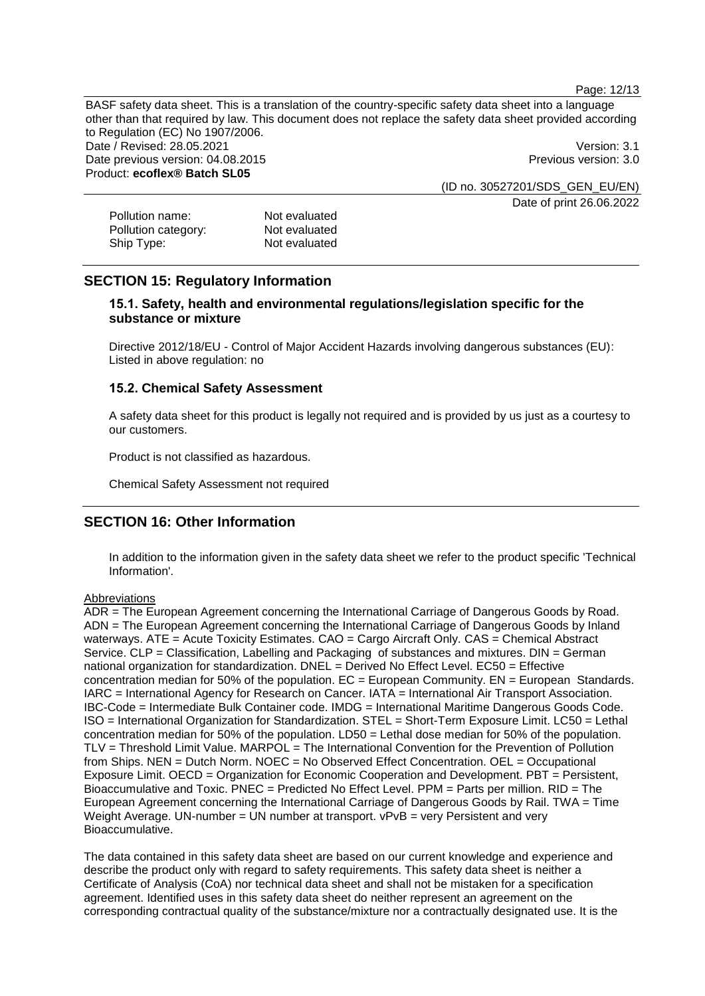Page: 12/13

BASF safety data sheet. This is a translation of the country-specific safety data sheet into a language other than that required by law. This document does not replace the safety data sheet provided according to Regulation (EC) No 1907/2006. Date / Revised: 28.05.2021 **Version: 3.1** Date previous version: 04.08.2015 **Previous version: 3.0** Previous version: 3.0 Product: **ecoflex® Batch SL05** (ID no. 30527201/SDS\_GEN\_EU/EN)

Date of print 26.06.2022

| Pollution name:     | Not evaluated |
|---------------------|---------------|
| Pollution category: | Not evaluated |
| Ship Type:          | Not evaluated |

# **SECTION 15: Regulatory Information**

# **15.1. Safety, health and environmental regulations/legislation specific for the substance or mixture**

Directive 2012/18/EU - Control of Major Accident Hazards involving dangerous substances (EU): Listed in above regulation: no

# **15.2. Chemical Safety Assessment**

A safety data sheet for this product is legally not required and is provided by us just as a courtesy to our customers.

Product is not classified as hazardous.

Chemical Safety Assessment not required

# **SECTION 16: Other Information**

In addition to the information given in the safety data sheet we refer to the product specific 'Technical Information'.

### **Abbreviations**

ADR = The European Agreement concerning the International Carriage of Dangerous Goods by Road. ADN = The European Agreement concerning the International Carriage of Dangerous Goods by Inland waterways. ATE = Acute Toxicity Estimates. CAO = Cargo Aircraft Only. CAS = Chemical Abstract Service. CLP = Classification, Labelling and Packaging of substances and mixtures. DIN = German national organization for standardization. DNEL = Derived No Effect Level. EC50 = Effective concentration median for 50% of the population.  $EC = European$  Community.  $EN = European$  Standards. IARC = International Agency for Research on Cancer. IATA = International Air Transport Association. IBC-Code = Intermediate Bulk Container code. IMDG = International Maritime Dangerous Goods Code. ISO = International Organization for Standardization. STEL = Short-Term Exposure Limit. LC50 = Lethal concentration median for 50% of the population. LD50 = Lethal dose median for 50% of the population. TLV = Threshold Limit Value. MARPOL = The International Convention for the Prevention of Pollution from Ships. NEN = Dutch Norm. NOEC = No Observed Effect Concentration. OEL = Occupational Exposure Limit. OECD = Organization for Economic Cooperation and Development. PBT = Persistent, Bioaccumulative and Toxic. PNEC = Predicted No Effect Level. PPM = Parts per million. RID = The European Agreement concerning the International Carriage of Dangerous Goods by Rail. TWA = Time Weight Average. UN-number = UN number at transport.  $vPvB = very$  Persistent and very Bioaccumulative.

The data contained in this safety data sheet are based on our current knowledge and experience and describe the product only with regard to safety requirements. This safety data sheet is neither a Certificate of Analysis (CoA) nor technical data sheet and shall not be mistaken for a specification agreement. Identified uses in this safety data sheet do neither represent an agreement on the corresponding contractual quality of the substance/mixture nor a contractually designated use. It is the